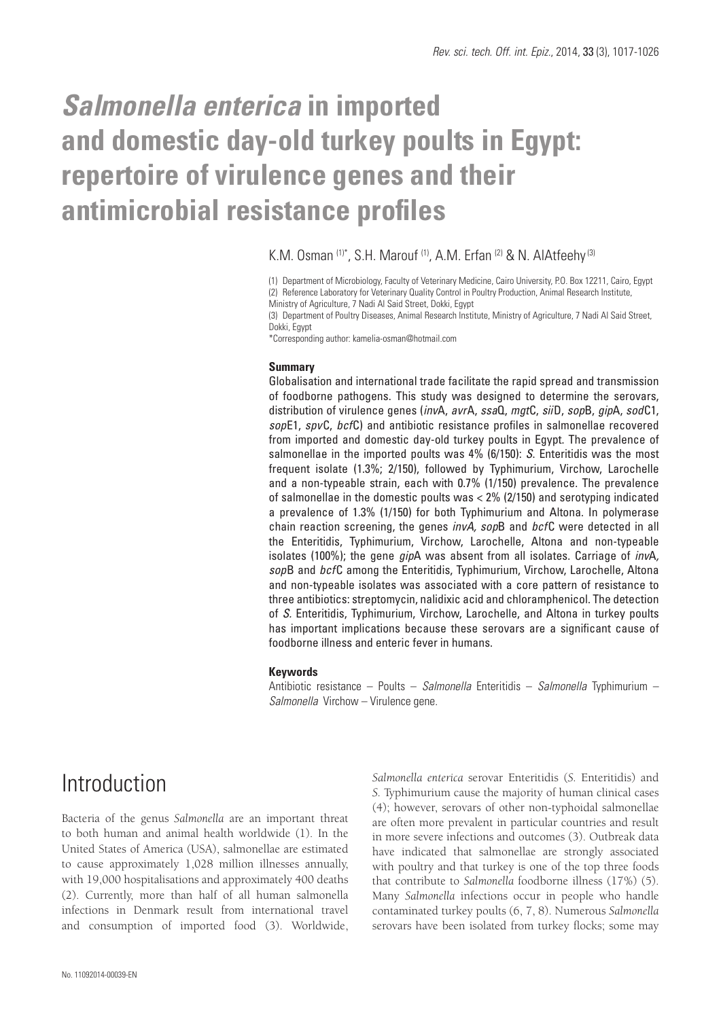# *Salmonella enterica* **in imported and domestic day-old turkey poults in Egypt: repertoire of virulence genes and their antimicrobial resistance profiles**

#### K.M. Osman (1)\*, S.H. Marouf (1), A.M. Erfan (2) & N. AlAtfeehy (3)

(1) Department of Microbiology, Faculty of Veterinary Medicine, Cairo University, P.O. Box 12211, Cairo, Egypt (2) Reference Laboratory for Veterinary Quality Control in Poultry Production, Animal Research Institute, Ministry of Agriculture, 7 Nadi Al Said Street, Dokki, Egypt

(3) Department of Poultry Diseases, Animal Research Institute, Ministry of Agriculture, 7 Nadi Al Said Street, Dokki, Egypt

\*Corresponding author: kamelia-osman@hotmail.com

#### **Summary**

Globalisation and international trade facilitate the rapid spread and transmission of foodborne pathogens. This study was designed to determine the serovars, distribution of virulence genes (*inv*A, *avr*A, *ssa*Q, *mgt*C, *sii*D, *sop*B, *gip*A, *sod*C1, *sop*E1, *spv*C, *bcf*C) and antibiotic resistance profiles in salmonellae recovered from imported and domestic day-old turkey poults in Egypt. The prevalence of salmonellae in the imported poults was 4% (6/150): *S*. Enteritidis was the most frequent isolate (1.3%; 2/150), followed by Typhimurium, Virchow, Larochelle and a non-typeable strain, each with 0.7% (1/150) prevalence. The prevalence of salmonellae in the domestic poults was < 2% (2/150) and serotyping indicated a prevalence of 1.3% (1/150) for both Typhimurium and Altona. In polymerase chain reaction screening, the genes *invA, sop*B and *bcf*C were detected in all the Enteritidis, Typhimurium, Virchow, Larochelle, Altona and non-typeable isolates (100%); the gene *gip*A was absent from all isolates. Carriage of *inv*A*, sop*B and *bcf*C among the Enteritidis, Typhimurium, Virchow, Larochelle, Altona and non-typeable isolates was associated with a core pattern of resistance to three antibiotics: streptomycin, nalidixic acid and chloramphenicol. The detection of *S.* Enteritidis, Typhimurium, Virchow, Larochelle, and Altona in turkey poults has important implications because these serovars are a significant cause of foodborne illness and enteric fever in humans.

#### **Keywords**

Antibiotic resistance – Poults – *Salmonella* Enteritidis – *Salmonella* Typhimurium – *Salmonella* Virchow – Virulence gene.

### Introduction

Bacteria of the genus *Salmonella* are an important threat to both human and animal health worldwide (1). In the United States of America (USA), salmonellae are estimated to cause approximately 1,028 million illnesses annually, with 19,000 hospitalisations and approximately 400 deaths (2). Currently, more than half of all human salmonella infections in Denmark result from international travel and consumption of imported food (3). Worldwide,

*Salmonella enterica* serovar Enteritidis (*S.* Enteritidis) and *S.* Typhimurium cause the majority of human clinical cases (4); however, serovars of other non-typhoidal salmonellae are often more prevalent in particular countries and result in more severe infections and outcomes (3). Outbreak data have indicated that salmonellae are strongly associated with poultry and that turkey is one of the top three foods that contribute to *Salmonella* foodborne illness (17%) (5). Many *Salmonella* infections occur in people who handle contaminated turkey poults (6, 7, 8). Numerous *Salmonella*  serovars have been isolated from turkey flocks; some may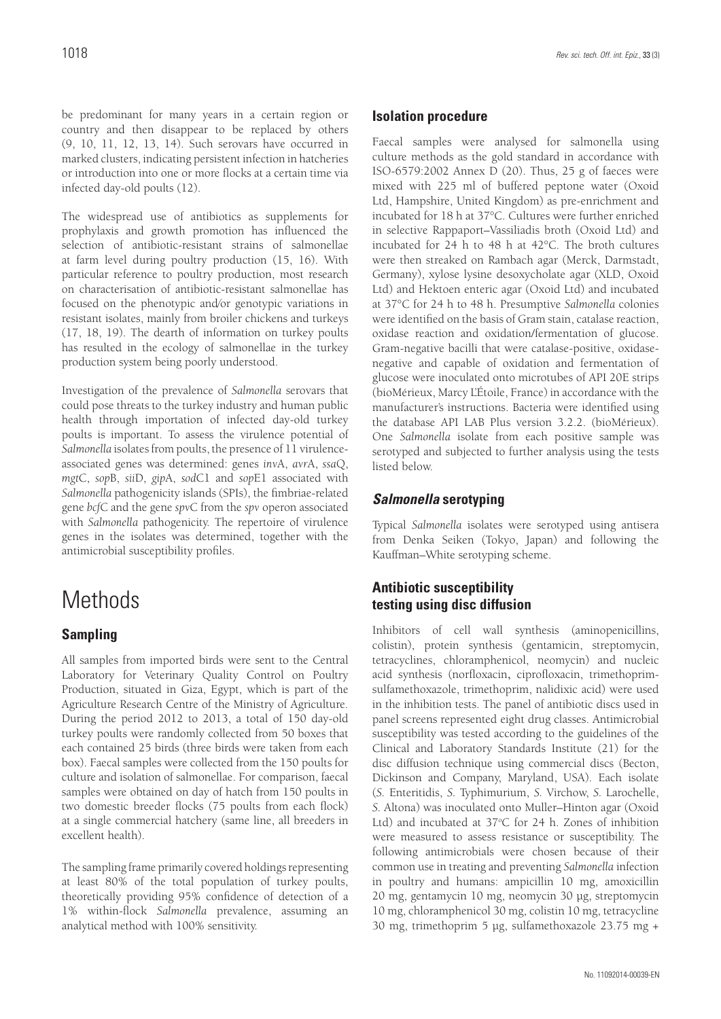be predominant for many years in a certain region or country and then disappear to be replaced by others (9, 10, 11, 12, 13, 14). Such serovars have occurred in marked clusters, indicating persistent infection in hatcheries or introduction into one or more flocks at a certain time via infected day-old poults (12).

The widespread use of antibiotics as supplements for prophylaxis and growth promotion has influenced the selection of antibiotic-resistant strains of salmonellae at farm level during poultry production (15, 16). With particular reference to poultry production, most research on characterisation of antibiotic-resistant salmonellae has focused on the phenotypic and⁄or genotypic variations in resistant isolates, mainly from broiler chickens and turkeys (17, 18, 19). The dearth of information on turkey poults has resulted in the ecology of salmonellae in the turkey production system being poorly understood.

Investigation of the prevalence of *Salmonella* serovars that could pose threats to the turkey industry and human public health through importation of infected day-old turkey poults is important. To assess the virulence potential of *Salmonella* isolates from poults, the presence of 11 virulenceassociated genes was determined: genes *inv*A, *avr*A, *ssa*Q, *mgt*C, *sop*B, *sii*D, *gip*A, *sod*C1 and *sop*E1 associated with *Salmonella* pathogenicity islands (SPIs), the fimbriae-related gene *bcf*C and the gene *spv*C from the *spv* operon associated with *Salmonella* pathogenicity. The repertoire of virulence genes in the isolates was determined, together with the antimicrobial susceptibility profiles.

## **Methods**

### **Sampling**

All samples from imported birds were sent to the Central Laboratory for Veterinary Quality Control on Poultry Production, situated in Giza, Egypt, which is part of the Agriculture Research Centre of the Ministry of Agriculture. During the period 2012 to 2013, a total of 150 day-old turkey poults were randomly collected from 50 boxes that each contained 25 birds (three birds were taken from each box). Faecal samples were collected from the 150 poults for culture and isolation of salmonellae. For comparison, faecal samples were obtained on day of hatch from 150 poults in two domestic breeder flocks (75 poults from each flock) at a single commercial hatchery (same line, all breeders in excellent health).

The sampling frame primarily covered holdings representing at least 80% of the total population of turkey poults, theoretically providing 95% confidence of detection of a 1% within-flock *Salmonella* prevalence, assuming an analytical method with 100% sensitivity.

#### **Isolation procedure**

Faecal samples were analysed for salmonella using culture methods as the gold standard in accordance with ISO-6579:2002 Annex D (20). Thus, 25 g of faeces were mixed with 225 ml of buffered peptone water (Oxoid Ltd, Hampshire, United Kingdom) as pre-enrichment and incubated for 18 h at 37°C. Cultures were further enriched in selective Rappaport–Vassiliadis broth (Oxoid Ltd) and incubated for 24 h to 48 h at 42°C. The broth cultures were then streaked on Rambach agar (Merck, Darmstadt, Germany), xylose lysine desoxycholate agar (XLD, Oxoid Ltd) and Hektoen enteric agar (Oxoid Ltd) and incubated at 37°C for 24 h to 48 h. Presumptive *Salmonella* colonies were identified on the basis of Gram stain, catalase reaction, oxidase reaction and oxidation/fermentation of glucose. Gram-negative bacilli that were catalase-positive, oxidasenegative and capable of oxidation and fermentation of glucose were inoculated onto microtubes of API 20E strips (bioMérieux, Marcy L'Étoile, France) in accordance with the manufacturer's instructions. Bacteria were identified using the database API LAB Plus version 3.2.2. (bioMérieux). One *Salmonella* isolate from each positive sample was serotyped and subjected to further analysis using the tests listed below.

#### *Salmonella* **serotyping**

Typical *Salmonella* isolates were serotyped using antisera from Denka Seiken (Tokyo, Japan) and following the Kauffman–White serotyping scheme.

#### **Antibiotic susceptibility testing using disc diffusion**

Inhibitors of cell wall synthesis (aminopenicillins, colistin), protein synthesis (gentamicin, streptomycin, tetracyclines, chloramphenicol, neomycin) and nucleic acid synthesis (norfloxacin**,** ciprofloxacin, trimethoprimsulfamethoxazole, trimethoprim, nalidixic acid) were used in the inhibition tests. The panel of antibiotic discs used in panel screens represented eight drug classes. Antimicrobial susceptibility was tested according to the guidelines of the Clinical and Laboratory Standards Institute (21) for the disc diffusion technique using commercial discs (Becton, Dickinson and Company, Maryland, USA). Each isolate (*S.* Enteritidis, *S.* Typhimurium, *S.* Virchow, *S.* Larochelle, *S.* Altona) was inoculated onto Muller–Hinton agar (Oxoid Ltd) and incubated at  $37^{\circ}$ C for 24 h. Zones of inhibition were measured to assess resistance or susceptibility. The following antimicrobials were chosen because of their common use in treating and preventing *Salmonella* infection in poultry and humans: ampicillin 10 mg, amoxicillin 20 mg, gentamycin 10 mg, neomycin 30 µg, streptomycin 10 mg, chloramphenicol 30 mg, colistin 10 mg, tetracycline 30 mg, trimethoprim 5 µg, sulfamethoxazole 23.75 mg +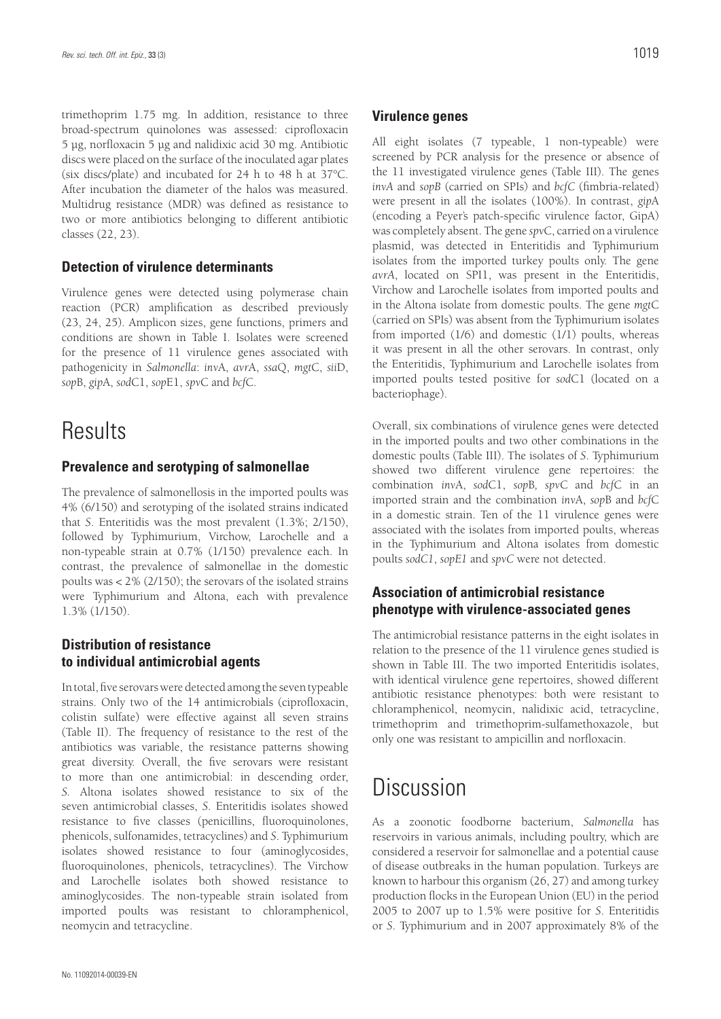trimethoprim 1.75 mg. In addition, resistance to three broad-spectrum quinolones was assessed: ciprofloxacin 5 µg, norfloxacin 5 µg and nalidixic acid 30 mg. Antibiotic discs were placed on the surface of the inoculated agar plates (six discs/plate) and incubated for 24 h to 48 h at 37°C. After incubation the diameter of the halos was measured. Multidrug resistance (MDR) was defined as resistance to two or more antibiotics belonging to different antibiotic classes (22, 23).

#### **Detection of virulence determinants**

Virulence genes were detected using polymerase chain reaction (PCR) amplification as described previously (23, 24, 25). Amplicon sizes, gene functions, primers and conditions are shown in Table I. Isolates were screened for the presence of 11 virulence genes associated with pathogenicity in *Salmonella*: *inv*A, *avr*A, *ssa*Q, *mgt*C, *sii*D, *sop*B, *gip*A, *sod*C1, *sop*E1, *spv*C and *bcf*C.

### **Results**

#### **Prevalence and serotyping of salmonellae**

The prevalence of salmonellosis in the imported poults was 4% (6/150) and serotyping of the isolated strains indicated that *S*. Enteritidis was the most prevalent (1.3%; 2/150), followed by Typhimurium, Virchow, Larochelle and a non-typeable strain at 0.7% (1/150) prevalence each. In contrast, the prevalence of salmonellae in the domestic poults was < 2% (2/150); the serovars of the isolated strains were Typhimurium and Altona, each with prevalence 1.3% (1/150).

#### **Distribution of resistance to individual antimicrobial agents**

In total, five serovars were detected among the seven typeable strains. Only two of the 14 antimicrobials (ciprofloxacin, colistin sulfate) were effective against all seven strains (Table II). The frequency of resistance to the rest of the antibiotics was variable, the resistance patterns showing great diversity. Overall, the five serovars were resistant to more than one antimicrobial: in descending order, *S.* Altona isolates showed resistance to six of the seven antimicrobial classes, *S*. Enteritidis isolates showed resistance to five classes (penicillins, fluoroquinolones, phenicols, sulfonamides, tetracyclines) and *S*. Typhimurium isolates showed resistance to four (aminoglycosides, fluoroquinolones, phenicols, tetracyclines). The Virchow and Larochelle isolates both showed resistance to aminoglycosides. The non-typeable strain isolated from imported poults was resistant to chloramphenicol, neomycin and tetracycline.

#### **Virulence genes**

All eight isolates (7 typeable, 1 non-typeable) were screened by PCR analysis for the presence or absence of the 11 investigated virulence genes (Table III). The genes *invA* and *sopB* (carried on SPIs) and *bcfC* (fimbria-related) were present in all the isolates (100%). In contrast, *gip*A (encoding a Peyer's patch-specific virulence factor, GipA) was completely absent. The gene *spv*C, carried on a virulence plasmid, was detected in Enteritidis and Typhimurium isolates from the imported turkey poults only. The gene *avrA*, located on SPI1, was present in the Enteritidis, Virchow and Larochelle isolates from imported poults and in the Altona isolate from domestic poults. The gene *mgt*C (carried on SPIs) was absent from the Typhimurium isolates from imported (1/6) and domestic (1/1) poults, whereas it was present in all the other serovars. In contrast, only the Enteritidis, Typhimurium and Larochelle isolates from imported poults tested positive for *sod*C1 (located on a bacteriophage).

Overall, six combinations of virulence genes were detected in the imported poults and two other combinations in the domestic poults (Table III). The isolates of *S*. Typhimurium showed two different virulence gene repertoires: the combination *inv*A, *sod*C1, *sop*B*, spv*C and *bcf*C in an imported strain and the combination *inv*A, *sop*B and *bcf*C in a domestic strain. Ten of the 11 virulence genes were associated with the isolates from imported poults, whereas in the Typhimurium and Altona isolates from domestic poults *sodC1*, *sopE1* and *spvC* were not detected.

#### **Association of antimicrobial resistance phenotype with virulence-associated genes**

The antimicrobial resistance patterns in the eight isolates in relation to the presence of the 11 virulence genes studied is shown in Table III. The two imported Enteritidis isolates, with identical virulence gene repertoires, showed different antibiotic resistance phenotypes: both were resistant to chloramphenicol, neomycin, nalidixic acid, tetracycline, trimethoprim and trimethoprim-sulfamethoxazole, but only one was resistant to ampicillin and norfloxacin.

### **Discussion**

As a zoonotic foodborne bacterium, *Salmonella* has reservoirs in various animals, including poultry, which are considered a reservoir for salmonellae and a potential cause of disease outbreaks in the human population. Turkeys are known to harbour this organism (26, 27) and among turkey production flocks in the European Union (EU) in the period 2005 to 2007 up to 1.5% were positive for *S*. Enteritidis or *S*. Typhimurium and in 2007 approximately 8% of the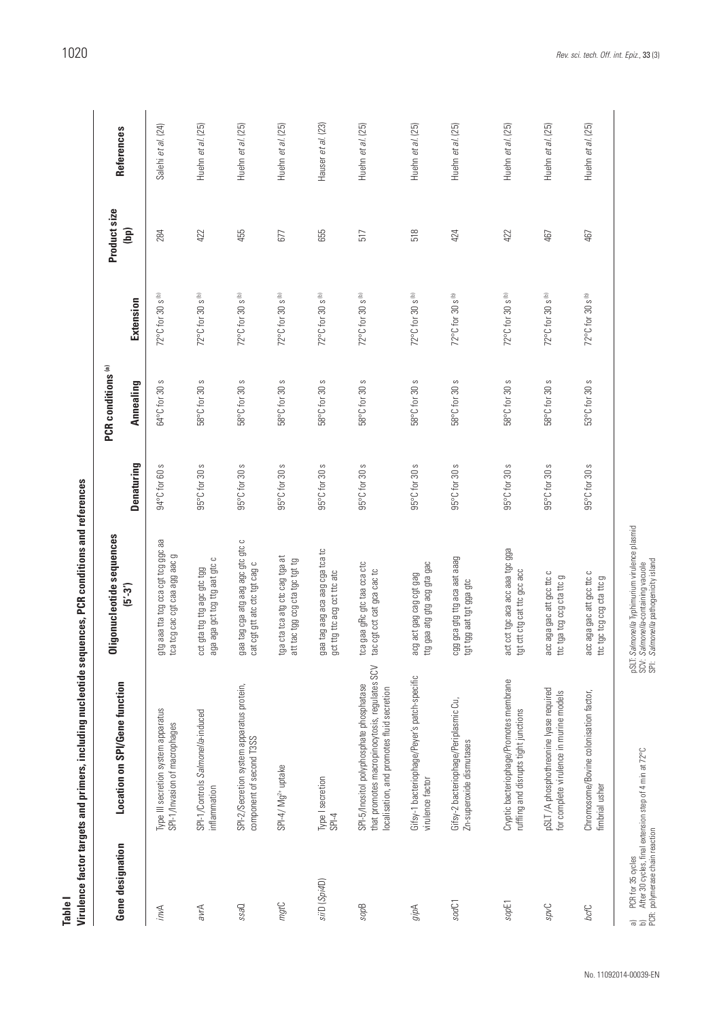| Ĭ<br>i                       |
|------------------------------|
|                              |
| $\sim$ 200 $\sim$ 200 $\sim$ |
|                              |
|                              |
|                              |
|                              |
|                              |
|                              |

| Gene designation                                                                                                | Location on SPI/Gene function                                                                                                           | Oligonucleotide sequences                                                                                                                           |               | PCR conditions <sup>(a)</sup> |                              | Product size | References         |
|-----------------------------------------------------------------------------------------------------------------|-----------------------------------------------------------------------------------------------------------------------------------------|-----------------------------------------------------------------------------------------------------------------------------------------------------|---------------|-------------------------------|------------------------------|--------------|--------------------|
|                                                                                                                 |                                                                                                                                         | $(5 - 3)$                                                                                                                                           | Denaturing    | Annealing                     | Extension                    | (bp)         |                    |
| invA                                                                                                            | Type III secretion system apparatus<br>SPI-1/Invasion of macrophages                                                                    | gtg aaa tta tog cca cgt tog ggc aa<br>tca tog cac cgt caa agg aac g                                                                                 | 94°C for 60 s | S<br>64°C for 30              | 72°C for 30 s (b)            | 284          | Salehi et al. (24) |
| avrA                                                                                                            | SPI-1/Controls Salmonella-induced<br>inflammation                                                                                       | aga aga gct tcg ttg aat gtc c<br>cct gta ttg ttg agc gtc tgg                                                                                        | 95°C for 30 s | 58°C for 30 s                 | 72°C for 30 s (b)            | 422          | Huehn et al. (25)  |
| Oess                                                                                                            | SPI-2/Secretion system apparatus protein,<br>component of second T3SS                                                                   | gaa tag cga atg aag agc gtc gtc c<br>cat cgt gtt atc ctc tgt cag c                                                                                  | 95°C for 30 s | 58°C for 30 s                 | 72°C for 30 s (b)            | 455          | Huehn et al. (25)  |
| mgtC                                                                                                            | SPI-4/Mg <sup>2+</sup> uptake                                                                                                           | tga cta tca atg ctc cag tga at<br>att tac tgg ccg cta tgc tgt tg                                                                                    | 95°C for 30 s | 58°C for 30 s                 | 72°C for 30 s <sup>to</sup>  | 677          | Huehn et al. (25)  |
| siiD (Spi4D)                                                                                                    | Type I secretion<br>$P-I-3$                                                                                                             | gaa tag aag aca aag cga tca tc<br>gct ttg ttc acg cct ttc atc                                                                                       | 95°C for 30 s | 58°C for 30 s                 | 72°C for 30 s <sup>(b)</sup> | 655          | Hauser et al. (23) |
| sopB                                                                                                            | that promotes macropinocytosis, regulates SCV<br>SPI-5/Inositol polyphosphate phosphatase<br>localisation, and promotes fluid secretion | tca gaa gRc gtc taa cca ctc<br>tac ogt cot cat goa cac to                                                                                           | 95°C for 30 s | 58°C for 30 s                 | 72°C for 30 s (b)            | 517          | Huehn et al. (25)  |
| gipA                                                                                                            | Gifsy-1 bacteriophage/Peyer's patch-specific<br>virulence factor                                                                        | ttg gaa atg gtg acg gta gac<br>acg act gag cag cgt gag                                                                                              | 95°C for 30 s | 58°C for 30 s                 | 72°C for 30 s (b)            | 518          | Huehn et al. (25)  |
| sodC1                                                                                                           | Gifsy-2 bacteriophage/Periplasmic Cu,<br>Zn-superoxide dismutases                                                                       | cgg gca gtg ttg aca aat aaag<br>tgt tgg aat tgt gga gtc                                                                                             | 95°C for 30 s | 58°C for 30 s                 | 72°C for 30 s <sup>tb)</sup> | 424          | Huehn et al. (25)  |
| sopE1                                                                                                           | Cryptic bacteriophage/Promotes membrane<br>ruffling and disrupts tight junctions                                                        | act cct tgc aca acc aaa tgc gga<br>tgt ctt ctg cat ttc gcc acc                                                                                      | 95°C for 30 s | 58°C for 30 s                 | 72°C for 30 s <sup>tb)</sup> | 422          | Huehn et al. (25)  |
| <b>Jvds</b>                                                                                                     | pSLT /A phosphothreonine lyase required<br>for complete virulence in murine models                                                      | acc aga gac att gcc ttc c<br>ttc tga tcg ccg cta ttc g                                                                                              | 95°C for 30 s | 58°C for 30 s                 | 72°C for 30 s <sup>th</sup>  | 467          | Huehn et al. (25)  |
| bcfC                                                                                                            | Chromosome/Bovine colonisation factor,<br>fimbrial usher                                                                                | acc aga gac att gcc ttc c<br>ttc tgc tcg ccg cta ttc g                                                                                              | 95°C for 30 s | 53°C for 30 s                 | 72°C for 30 s <sup>tb)</sup> | 467          | Huehn et al. (25)  |
| a) PCR for 35 cycles<br>b) After 30 cycles, final extens<br>PCR: polymerase chain reaction<br>PCR for 35 cycles | After 30 cycles, final extension step of 4 min at 72°C                                                                                  | pSLT. S <i>almonella</i> Typhimurium virulence plasmid<br>SCV. <i>Salmonella</i> -containing vacuole<br>SPI: <i>Salmonella</i> pathogenicity island |               |                               |                              |              |                    |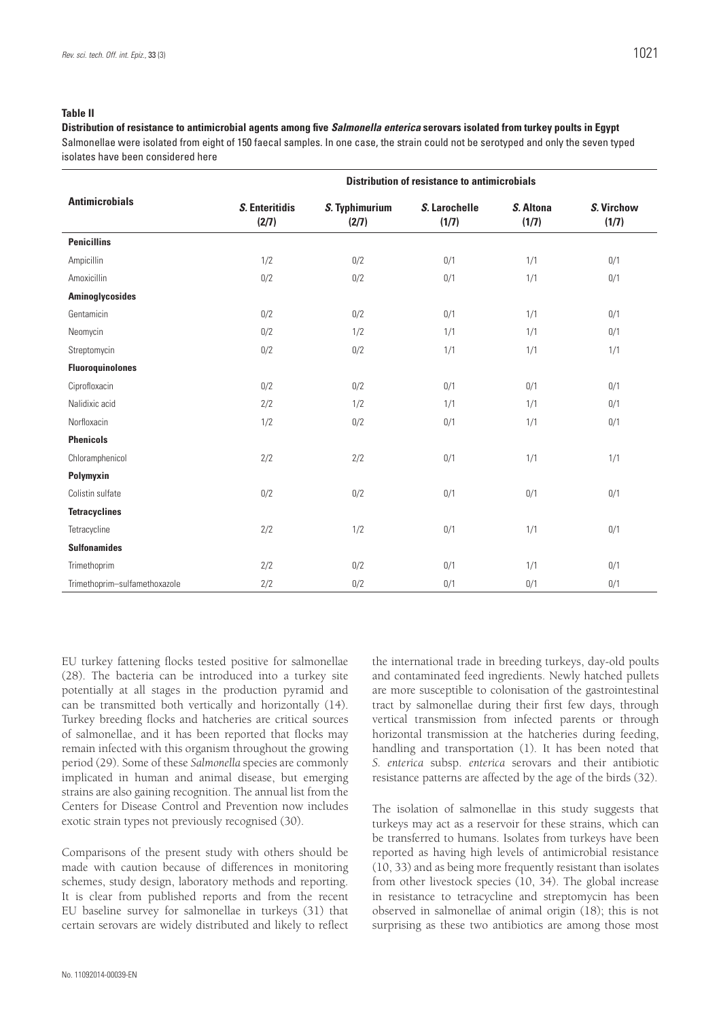**Distribution of resistance to antimicrobial agents among five** *Salmonella enterica* **serovars isolated from turkey poults in Egypt** Salmonellae were isolated from eight of 150 faecal samples. In one case, the strain could not be serotyped and only the seven typed isolates have been considered here

|                               | <b>Distribution of resistance to antimicrobials</b> |                         |                        |                    |                     |
|-------------------------------|-----------------------------------------------------|-------------------------|------------------------|--------------------|---------------------|
| <b>Antimicrobials</b>         | S. Enteritidis<br>(2/7)                             | S. Typhimurium<br>(2/7) | S. Larochelle<br>(1/7) | S. Altona<br>(1/7) | S. Virchow<br>(1/7) |
| <b>Penicillins</b>            |                                                     |                         |                        |                    |                     |
| Ampicillin                    | 1/2                                                 | 0/2                     | 0/1                    | 1/1                | 0/1                 |
| Amoxicillin                   | 0/2                                                 | 0/2                     | 0/1                    | 1/1                | 0/1                 |
| Aminoglycosides               |                                                     |                         |                        |                    |                     |
| Gentamicin                    | 0/2                                                 | 0/2                     | 0/1                    | 1/1                | 0/1                 |
| Neomycin                      | 0/2                                                 | 1/2                     | 1/1                    | 1/1                | 0/1                 |
| Streptomycin                  | 0/2                                                 | 0/2                     | 1/1                    | 1/1                | 1/1                 |
| <b>Fluoroquinolones</b>       |                                                     |                         |                        |                    |                     |
| Ciprofloxacin                 | 0/2                                                 | 0/2                     | 0/1                    | 0/1                | 0/1                 |
| Nalidixic acid                | 2/2                                                 | 1/2                     | 1/1                    | 1/1                | 0/1                 |
| Norfloxacin                   | 1/2                                                 | 0/2                     | 0/1                    | 1/1                | 0/1                 |
| <b>Phenicols</b>              |                                                     |                         |                        |                    |                     |
| Chloramphenicol               | 2/2                                                 | 2/2                     | 0/1                    | 1/1                | 1/1                 |
| Polymyxin                     |                                                     |                         |                        |                    |                     |
| Colistin sulfate              | 0/2                                                 | 0/2                     | 0/1                    | 0/1                | 0/1                 |
| <b>Tetracyclines</b>          |                                                     |                         |                        |                    |                     |
| Tetracycline                  | 2/2                                                 | 1/2                     | 0/1                    | 1/1                | 0/1                 |
| <b>Sulfonamides</b>           |                                                     |                         |                        |                    |                     |
| Trimethoprim                  | 2/2                                                 | 0/2                     | 0/1                    | 1/1                | 0/1                 |
| Trimethoprim-sulfamethoxazole | 2/2                                                 | 0/2                     | 0/1                    | 0/1                | 0/1                 |

EU turkey fattening flocks tested positive for salmonellae (28). The bacteria can be introduced into a turkey site potentially at all stages in the production pyramid and can be transmitted both vertically and horizontally (14). Turkey breeding flocks and hatcheries are critical sources of salmonellae, and it has been reported that flocks may remain infected with this organism throughout the growing period (29). Some of these *Salmonella* species are commonly implicated in human and animal disease, but emerging strains are also gaining recognition. The annual list from the Centers for Disease Control and Prevention now includes exotic strain types not previously recognised (30).

Comparisons of the present study with others should be made with caution because of differences in monitoring schemes, study design, laboratory methods and reporting. It is clear from published reports and from the recent EU baseline survey for salmonellae in turkeys (31) that certain serovars are widely distributed and likely to reflect

the international trade in breeding turkeys, day-old poults and contaminated feed ingredients. Newly hatched pullets are more susceptible to colonisation of the gastrointestinal tract by salmonellae during their first few days, through vertical transmission from infected parents or through horizontal transmission at the hatcheries during feeding, handling and transportation (1). It has been noted that *S. enterica* subsp. *enterica* serovars and their antibiotic resistance patterns are affected by the age of the birds (32).

The isolation of salmonellae in this study suggests that turkeys may act as a reservoir for these strains, which can be transferred to humans. Isolates from turkeys have been reported as having high levels of antimicrobial resistance (10, 33) and as being more frequently resistant than isolates from other livestock species (10, 34). The global increase in resistance to tetracycline and streptomycin has been observed in salmonellae of animal origin (18); this is not surprising as these two antibiotics are among those most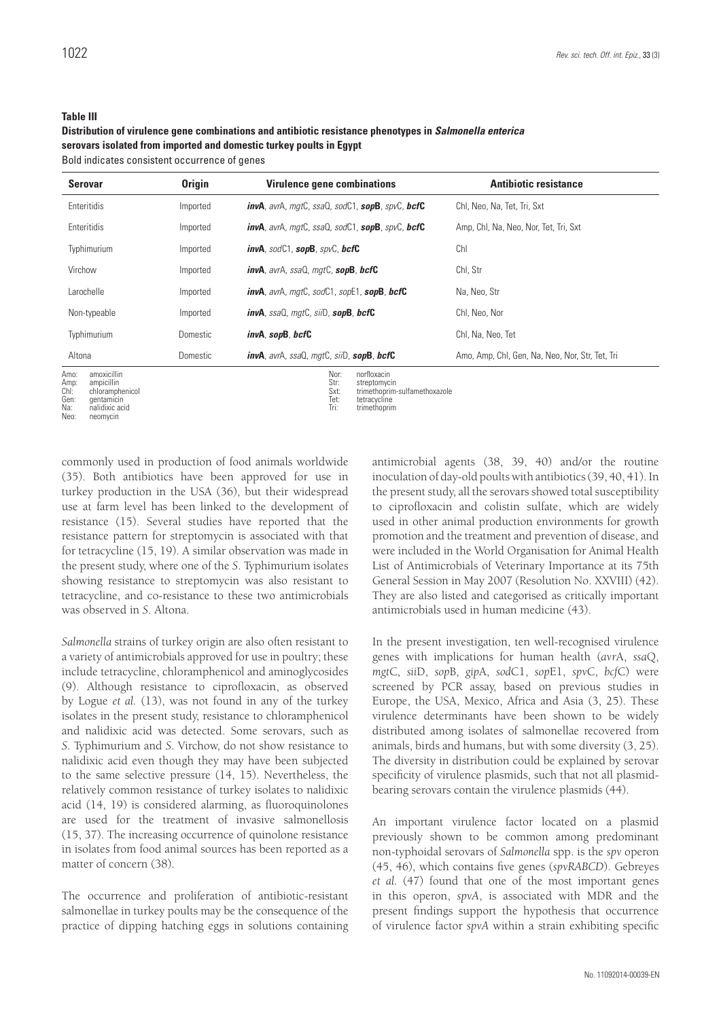#### **Table III**

#### **Distribution of virulence gene combinations and antibiotic resistance phenotypes in** *Salmonella enterica* **serovars isolated from imported and domestic turkey poults in Egypt**

Bold indicates consistent occurrence of genes

| <b>Serovar</b>                                                                                                      | <b>Origin</b> | <b>Virulence gene combinations</b>                                                                                                   | <b>Antibiotic resistance</b>                    |
|---------------------------------------------------------------------------------------------------------------------|---------------|--------------------------------------------------------------------------------------------------------------------------------------|-------------------------------------------------|
| Enteritidis                                                                                                         | Imported      | invA, avrA, mgtC, ssaQ, sodC1, sopB, spvC, bcfC                                                                                      | Chl, Neo, Na, Tet, Tri, Sxt                     |
| Enteritidis                                                                                                         | Imported      | $invA$ , avr $A$ , mqt $C$ , ssa $Q$ , sod $C1$ , sop $B$ , spv $C$ , bcf $C$                                                        | Amp, Chl, Na, Neo, Nor, Tet, Tri, Sxt           |
| Typhimurium                                                                                                         | Imported      | $invA$ , sod $C1$ , sop $B$ , spv $C$ , bcf $C$                                                                                      | Chl                                             |
| Virchow                                                                                                             | Imported      | <i>invA</i> , avrA, ssaQ, mgtC, sopB, bcfC                                                                                           | Chl, Str                                        |
| Larochelle                                                                                                          | Imported      | <i>invA</i> , avrA, mgtC, sodC1, sopE1, <b>sopB, bcfC</b>                                                                            | Na, Neo, Str                                    |
| Non-typeable                                                                                                        | Imported      | $invA$ , ssaQ, mgt $C$ , siiD, sop $B$ , bcf $C$                                                                                     | Chl, Neo, Nor                                   |
| Typhimurium                                                                                                         | Domestic      | invA, sopB, bcfC                                                                                                                     | Chl, Na, Neo, Tet                               |
| Altona                                                                                                              | Domestic      | invA, avrA, ssaQ, mgtC, siiD, sopB, bcfC                                                                                             | Amo, Amp, Chl, Gen, Na, Neo, Nor, Str, Tet, Tri |
| Amo:<br>amoxicillin<br>ampicillin<br>Amp:<br>ChI:<br>chloramphenicol<br>Gen:<br>gentamicin<br>Na:<br>nalidixic acid |               | Nor:<br>norfloxacin<br>Str:<br>streptomycin<br>Sxt:<br>trimethoprim-sulfamethoxazole<br>Tet:<br>tetracycline<br>Tri:<br>trimethoprim |                                                 |

Gen: gentamicin Na: nalidixic acid

Neo: neomycin

commonly used in production of food animals worldwide (35). Both antibiotics have been approved for use in turkey production in the USA (36), but their widespread use at farm level has been linked to the development of resistance (15). Several studies have reported that the resistance pattern for streptomycin is associated with that for tetracycline (15, 19). A similar observation was made in the present study, where one of the *S*. Typhimurium isolates showing resistance to streptomycin was also resistant to tetracycline, and co-resistance to these two antimicrobials was observed in *S*. Altona.

*Salmonella* strains of turkey origin are also often resistant to a variety of antimicrobials approved for use in poultry; these include tetracycline, chloramphenicol and aminoglycosides (9). Although resistance to ciprofloxacin, as observed by Logue *et al.* (13), was not found in any of the turkey isolates in the present study, resistance to chloramphenicol and nalidixic acid was detected. Some serovars, such as *S*. Typhimurium and *S*. Virchow, do not show resistance to nalidixic acid even though they may have been subjected to the same selective pressure (14, 15). Nevertheless, the relatively common resistance of turkey isolates to nalidixic acid (14, 19) is considered alarming, as fluoroquinolones are used for the treatment of invasive salmonellosis (15, 37). The increasing occurrence of quinolone resistance in isolates from food animal sources has been reported as a matter of concern (38).

The occurrence and proliferation of antibiotic-resistant salmonellae in turkey poults may be the consequence of the practice of dipping hatching eggs in solutions containing antimicrobial agents (38, 39, 40) and/or the routine inoculation of day-old poults with antibiotics (39, 40, 41). In the present study, all the serovars showed total susceptibility to ciprofloxacin and colistin sulfate, which are widely used in other animal production environments for growth promotion and the treatment and prevention of disease, and were included in the World Organisation for Animal Health List of Antimicrobials of Veterinary Importance at its 75th General Session in May 2007 (Resolution No. XXVIII) (42). They are also listed and categorised as critically important antimicrobials used in human medicine (43).

In the present investigation, ten well-recognised virulence genes with implications for human health (*avr*A, *ssa*Q, *mgt*C, *sii*D, *sop*B, *gip*A, *sod*C1, *sop*E1, *spv*C, *bcf*C) were screened by PCR assay, based on previous studies in Europe, the USA, Mexico, Africa and Asia (3, 25). These virulence determinants have been shown to be widely distributed among isolates of salmonellae recovered from animals, birds and humans, but with some diversity (3, 25). The diversity in distribution could be explained by serovar specificity of virulence plasmids, such that not all plasmidbearing serovars contain the virulence plasmids (44).

An important virulence factor located on a plasmid previously shown to be common among predominant non-typhoidal serovars of *Salmonella* spp. is the *spv* operon (45, 46), which contains five genes (*spvRABCD*). Gebreyes *et al.* (47) found that one of the most important genes in this operon, *spvA*, is associated with MDR and the present findings support the hypothesis that occurrence of virulence factor *spvA* within a strain exhibiting specific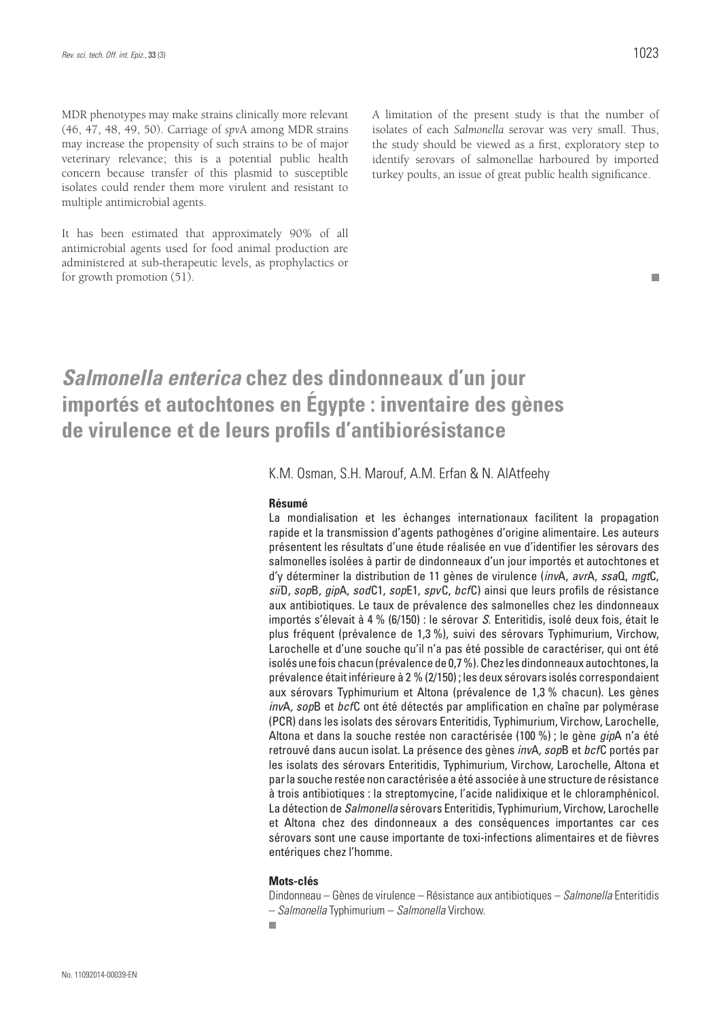MDR phenotypes may make strains clinically more relevant (46, 47, 48, 49, 50). Carriage of *spv*A among MDR strains may increase the propensity of such strains to be of major veterinary relevance; this is a potential public health concern because transfer of this plasmid to susceptible isolates could render them more virulent and resistant to multiple antimicrobial agents.

It has been estimated that approximately 90% of all antimicrobial agents used for food animal production are administered at sub-therapeutic levels, as prophylactics or for growth promotion (51).

A limitation of the present study is that the number of isolates of each *Salmonella* serovar was very small. Thus, the study should be viewed as a first, exploratory step to identify serovars of salmonellae harboured by imported turkey poults, an issue of great public health significance.

### *Salmonella enterica* **chez des dindonneaux d'un jour importés et autochtones en Égypte : inventaire des gènes de virulence et de leurs profils d'antibiorésistance**

K.M. Osman, S.H. Marouf, A.M. Erfan & N. AlAtfeehy

#### **Résumé**

La mondialisation et les échanges internationaux facilitent la propagation rapide et la transmission d'agents pathogènes d'origine alimentaire. Les auteurs présentent les résultats d'une étude réalisée en vue d'identifier les sérovars des salmonelles isolées à partir de dindonneaux d'un jour importés et autochtones et d'y déterminer la distribution de 11 gènes de virulence (*inv*A, *avr*A, *ssa*Q, *mgt*C, *sii*D, *sop*B, *gip*A, *sod*C1, *sop*E1, *spv*C, *bcf*C) ainsi que leurs profils de résistance aux antibiotiques. Le taux de prévalence des salmonelles chez les dindonneaux importés s'élevait à 4 % (6/150) : le sérovar *S*. Enteritidis, isolé deux fois, était le plus fréquent (prévalence de 1,3 %), suivi des sérovars Typhimurium, Virchow, Larochelle et d'une souche qu'il n'a pas été possible de caractériser, qui ont été isolés une fois chacun (prévalence de 0,7 %). Chez les dindonneaux autochtones, la prévalence était inférieure à 2 % (2/150) ; les deux sérovars isolés correspondaient aux sérovars Typhimurium et Altona (prévalence de 1,3 % chacun). Les gènes *inv*A*, sop*B et *bcf*C ont été détectés par amplification en chaîne par polymérase (PCR) dans les isolats des sérovars Enteritidis, Typhimurium, Virchow, Larochelle, Altona et dans la souche restée non caractérisée (100 %) ; le gène *gip*A n'a été retrouvé dans aucun isolat. La présence des gènes *inv*A*, sop*B et *bcf*C portés par les isolats des sérovars Enteritidis, Typhimurium, Virchow, Larochelle, Altona et par la souche restée non caractérisée a été associée à une structure de résistance à trois antibiotiques : la streptomycine, l'acide nalidixique et le chloramphénicol. La détection de *Salmonella* sérovars Enteritidis, Typhimurium, Virchow, Larochelle et Altona chez des dindonneaux a des conséquences importantes car ces sérovars sont une cause importante de toxi-infections alimentaires et de fièvres entériques chez l'homme.

#### **Mots-clés**

Dindonneau – Gènes de virulence – Résistance aux antibiotiques – *Salmonella* Enteritidis – *Salmonella* Typhimurium – *Salmonella* Virchow.

m.

 $\mathcal{L}_{\mathcal{A}}$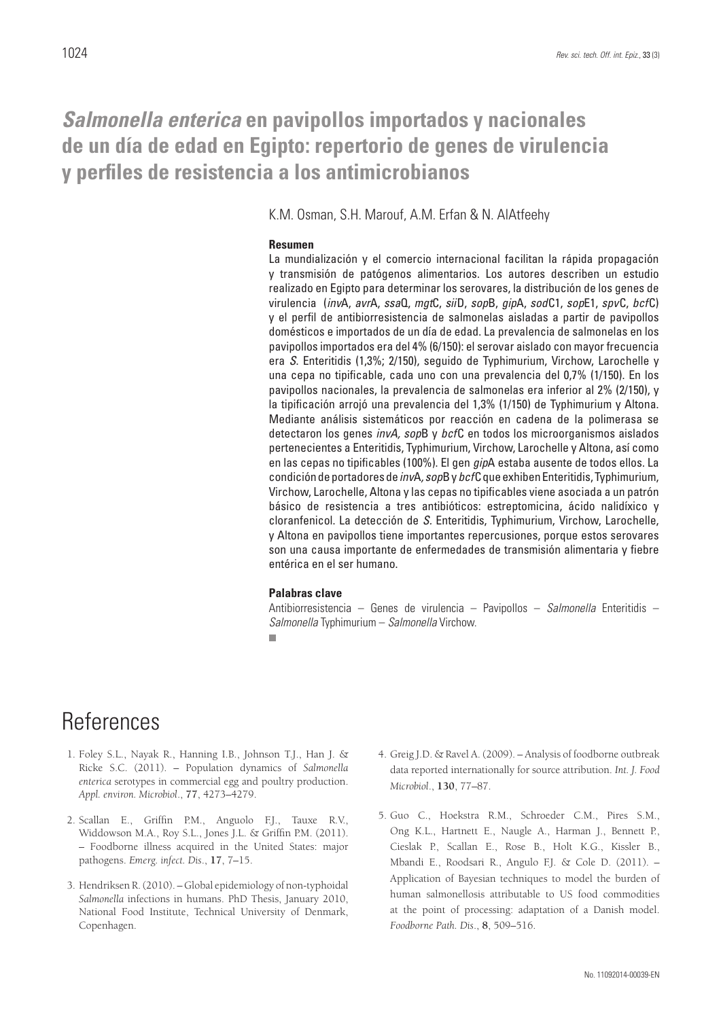### *Salmonella enterica* **en pavipollos importados y nacionales de un día de edad en Egipto: repertorio de genes de virulencia y perfiles de resistencia a los antimicrobianos**

K.M. Osman, S.H. Marouf, A.M. Erfan & N. AlAtfeehy

#### **Resumen**

La mundialización y el comercio internacional facilitan la rápida propagación y transmisión de patógenos alimentarios. Los autores describen un estudio realizado en Egipto para determinar los serovares, la distribución de los genes de virulencia (*inv*A, *avr*A, *ssa*Q, *mgt*C, *sii*D, *sop*B, *gip*A, *sod*C1, *sop*E1, *spv*C, *bcf*C) y el perfil de antibiorresistencia de salmonelas aisladas a partir de pavipollos domésticos e importados de un día de edad. La prevalencia de salmonelas en los pavipollos importados era del 4% (6/150): el serovar aislado con mayor frecuencia era *S*. Enteritidis (1,3%; 2/150), seguido de Typhimurium, Virchow, Larochelle y una cepa no tipificable, cada uno con una prevalencia del 0,7% (1/150). En los pavipollos nacionales, la prevalencia de salmonelas era inferior al 2% (2/150), y la tipificación arrojó una prevalencia del 1,3% (1/150) de Typhimurium y Altona. Mediante análisis sistemáticos por reacción en cadena de la polimerasa se detectaron los genes *invA, sop*B y *bcf*C en todos los microorganismos aislados pertenecientes a Enteritidis, Typhimurium, Virchow, Larochelle y Altona, así como en las cepas no tipificables (100%). El gen *gip*A estaba ausente de todos ellos. La condición de portadores de *inv*A*, sop*B y *bcf*C que exhiben Enteritidis, Typhimurium, Virchow, Larochelle, Altona y las cepas no tipificables viene asociada a un patrón básico de resistencia a tres antibióticos: estreptomicina, ácido nalidíxico y cloranfenicol. La detección de *S.* Enteritidis, Typhimurium, Virchow, Larochelle, y Altona en pavipollos tiene importantes repercusiones, porque estos serovares son una causa importante de enfermedades de transmisión alimentaria y fiebre entérica en el ser humano.

#### **Palabras clave**

Antibiorresistencia – Genes de virulencia – Pavipollos – *Salmonella* Enteritidis – *Salmonella* Typhimurium – *Salmonella* Virchow. ш

### References

- 1. Foley S.L., Nayak R., Hanning I.B., Johnson T.J., Han J. & Ricke S.C. (2011). – Population dynamics of *Salmonella enterica* serotypes in commercial egg and poultry production. *Appl. environ. Microbiol*., **77**, 4273–4279.
- 2. Scallan E., Griffin P.M., Anguolo F.J., Tauxe R.V., Widdowson M.A., Roy S.L., Jones J.L. & Griffin P.M. (2011). – Foodborne illness acquired in the United States: major pathogens. *Emerg. infect. Dis*., **17**, 7–15.
- 3. Hendriksen R. (2010). Global epidemiology of non-typhoidal *Salmonella* infections in humans. PhD Thesis, January 2010, National Food Institute, Technical University of Denmark, Copenhagen.
- 4. Greig J.D. & Ravel A. (2009). Analysis of foodborne outbreak data reported internationally for source attribution. *Int. J. Food Microbiol*., **130**, 77–87.
- 5. Guo C., Hoekstra R.M., Schroeder C.M., Pires S.M., Ong K.L., Hartnett E., Naugle A., Harman J., Bennett P., Cieslak P., Scallan E., Rose B., Holt K.G., Kissler B., Mbandi E., Roodsari R., Angulo F.J. & Cole D. (2011). -Application of Bayesian techniques to model the burden of human salmonellosis attributable to US food commodities at the point of processing: adaptation of a Danish model. *Foodborne Path. Dis*., **8**, 509–516.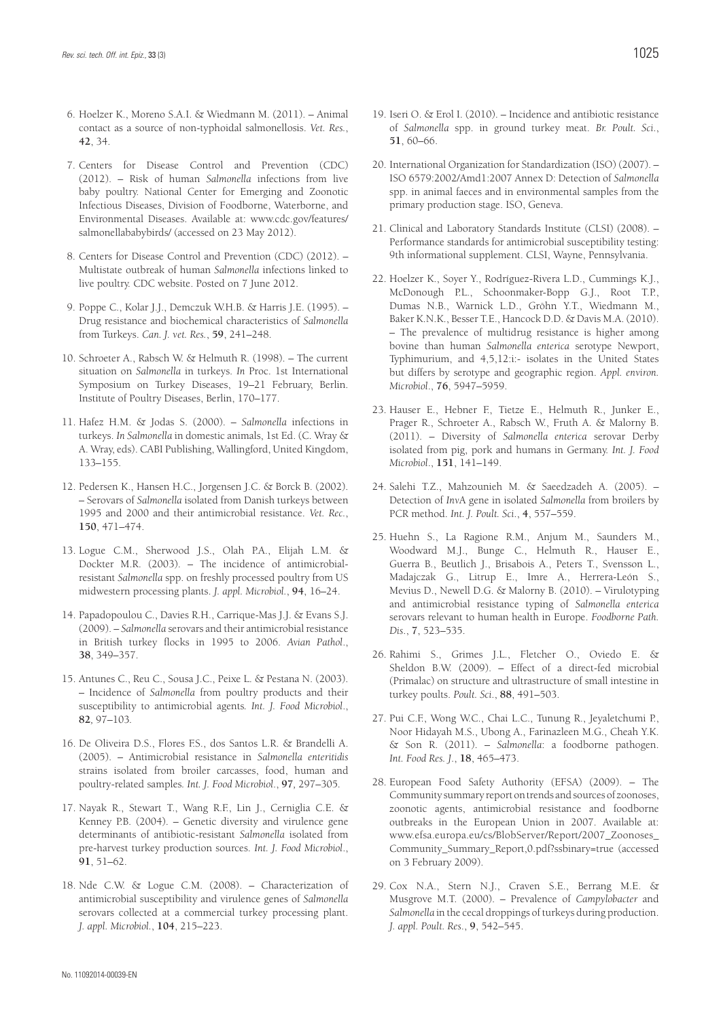- 6. Hoelzer K., Moreno S.A.I. & Wiedmann M. (2011). Animal contact as a source of non-typhoidal salmonellosis. *Vet. Res.*, **42**, 34.
- 7. Centers for Disease Control and Prevention (CDC) (2012). – Risk of human *Salmonella* infections from live baby poultry. National Center for Emerging and Zoonotic Infectious Diseases, Division of Foodborne, Waterborne, and Environmental Diseases. Available at: www.cdc.gov/features/ salmonellababybirds/ (accessed on 23 May 2012).
- 8. Centers for Disease Control and Prevention (CDC) (2012). Multistate outbreak of human *Salmonella* infections linked to live poultry. CDC website. Posted on 7 June 2012.
- 9. Poppe C., Kolar J.J., Demczuk W.H.B. & Harris J.E. (1995). Drug resistance and biochemical characteristics of *Salmonella*  from Turkeys. *Can. J. vet. Res.*, **59**, 241–248.
- 10. Schroeter A., Rabsch W. & Helmuth R. (1998). The current situation on *Salmonella* in turkeys. *In* Proc. 1st International Symposium on Turkey Diseases, 19–21 February, Berlin. Institute of Poultry Diseases, Berlin, 170–177.
- 11. Hafez H.M. & Jodas S. (2000). *Salmonella* infections in turkeys. *In Salmonella* in domestic animals, 1st Ed. (C. Wray & A. Wray, eds). CABI Publishing, Wallingford, United Kingdom, 133–155.
- 12. Pedersen K., Hansen H.C., Jorgensen J.C. & Borck B. (2002). – Serovars of *Salmonella* isolated from Danish turkeys between 1995 and 2000 and their antimicrobial resistance. *Vet. Rec.*, **150**, 471–474.
- 13. Logue C.M., Sherwood J.S., Olah P.A., Elijah L.M. & Dockter M.R. (2003). – The incidence of antimicrobialresistant *Salmonella* spp. on freshly processed poultry from US midwestern processing plants. *J. appl. Microbiol.*, **94**, 16–24.
- 14. Papadopoulou C., Davies R.H., Carrique-Mas J.J. & Evans S.J. (2009). – *Salmonella* serovars and their antimicrobial resistance in British turkey flocks in 1995 to 2006. *Avian Pathol*., **38**, 349–357.
- 15. Antunes C., Reu C., Sousa J.C., Peixe L. & Pestana N. (2003). – Incidence of *Salmonella* from poultry products and their susceptibility to antimicrobial agents*. Int. J. Food Microbiol*., **82***,* 97*–*103*.*
- 16. De Oliveira D.S., Flores F.S., dos Santos L.R. & Brandelli A. (2005). – Antimicrobial resistance in *Salmonella enteritidis* strains isolated from broiler carcasses, food, human and poultry-related samples*. Int. J. Food Microbiol*., **97***,* 297*–*305*.*
- 17. Nayak R., Stewart T., Wang R.F., Lin J., Cerniglia C.E. & Kenney P.B. (2004). – Genetic diversity and virulence gene determinants of antibiotic-resistant *Salmonella* isolated from pre-harvest turkey production sources. *Int. J. Food Microbiol*., **91**, 51–62.
- 18. Nde C.W. & Logue C.M. (2008). Characterization of antimicrobial susceptibility and virulence genes of *Salmonella* serovars collected at a commercial turkey processing plant. *J. appl. Microbiol.*, **104**, 215–223.
- 19. Iseri O. & Erol I. (2010). Incidence and antibiotic resistance of *Salmonella* spp. in ground turkey meat. *Br. Poult. Sci*., **51**, 60–66.
- 20. International Organization for Standardization (ISO) (2007). ISO 6579:2002/Amd1:2007 Annex D: Detection of *Salmonella*  spp. in animal faeces and in environmental samples from the primary production stage. ISO, Geneva.
- 21. Clinical and Laboratory Standards Institute (CLSI) (2008). Performance standards for antimicrobial susceptibility testing: 9th informational supplement. CLSI, Wayne, Pennsylvania.
- 22. Hoelzer K., Soyer Y., Rodríguez-Rivera L.D., Cummings K.J., McDonough P.L., Schoonmaker-Bopp G.J., Root T.P., Dumas N.B., Warnick L.D., Gröhn Y.T., Wiedmann M., Baker K.N.K., Besser T.E., Hancock D.D. & Davis M.A. (2010). – The prevalence of multidrug resistance is higher among bovine than human *Salmonella enterica* serotype Newport, Typhimurium, and 4,5,12:i:- isolates in the United States but differs by serotype and geographic region. *Appl. environ. Microbiol*., **76**, 5947–5959.
- 23. Hauser E., Hebner F., Tietze E., Helmuth R., Junker E., Prager R., Schroeter A., Rabsch W., Fruth A. & Malorny B. (2011). – Diversity of *Salmonella enterica* serovar Derby isolated from pig, pork and humans in Germany. *Int. J. Food Microbiol*., **151**, 141–149.
- 24. Salehi T.Z., Mahzounieh M. & Saeedzadeh A. (2005). Detection of *Inv*A gene in isolated *Salmonella* from broilers by PCR method. *Int. J. Poult. Sci*., **4**, 557–559.
- 25. Huehn S., La Ragione R.M., Anjum M., Saunders M., Woodward M.J., Bunge C., Helmuth R., Hauser E., Guerra B., Beutlich J., Brisabois A., Peters T., Svensson L., Madajczak G., Litrup E., Imre A., Herrera-León S., Mevius D., Newell D.G. & Malorny B. (2010). – Virulotyping and antimicrobial resistance typing of *Salmonella enterica* serovars relevant to human health in Europe. *Foodborne Path. Dis*., **7**, 523–535.
- 26. Rahimi S., Grimes J.L., Fletcher O., Oviedo E. & Sheldon B.W. (2009). – Effect of a direct-fed microbial (Primalac) on structure and ultrastructure of small intestine in turkey poults. *Poult. Sci*., **88**, 491–503.
- 27. Pui C.F., Wong W.C., Chai L.C., Tunung R., Jeyaletchumi P., Noor Hidayah M.S., Ubong A., Farinazleen M.G., Cheah Y.K. & Son R. (2011). – *Salmonella*: a foodborne pathogen. *Int. Food Res. J*., **18**, 465–473.
- 28. European Food Safety Authority (EFSA) (2009). The Community summary report on trends and sources of zoonoses, zoonotic agents, antimicrobial resistance and foodborne outbreaks in the European Union in 2007. Available at: www.efsa.europa.eu/cs/BlobServer/Report/2007\_Zoonoses\_ Community\_Summary\_Report,0.pdf?ssbinary=true (accessed on 3 February 2009).
- 29. Cox N.A., Stern N.J., Craven S.E., Berrang M.E. & Musgrove M.T. (2000). – Prevalence of *Campylobacter* and Salmonella in the cecal droppings of turkeys during production. *J. appl. Poult. Res*., **9**, 542–545.